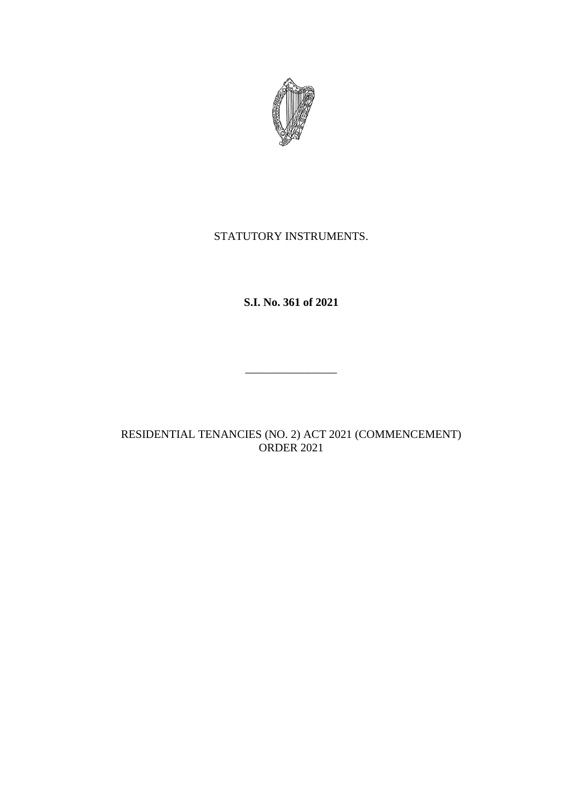

## STATUTORY INSTRUMENTS.

# **S.I. No. 361 of 2021**

RESIDENTIAL TENANCIES (NO. 2) ACT 2021 (COMMENCEMENT) ORDER 2021

\_\_\_\_\_\_\_\_\_\_\_\_\_\_\_\_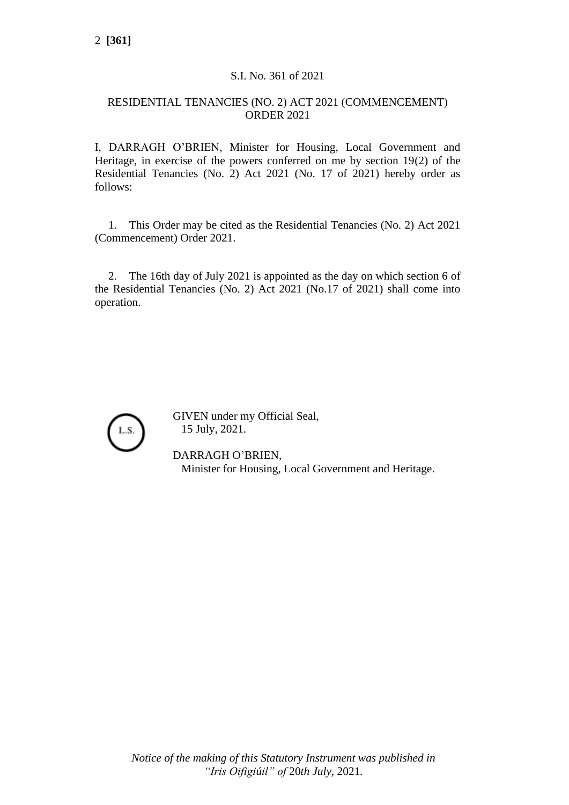### S.I. No. 361 of 2021

### RESIDENTIAL TENANCIES (NO. 2) ACT 2021 (COMMENCEMENT) ORDER 2021

I, DARRAGH O'BRIEN, Minister for Housing, Local Government and Heritage, in exercise of the powers conferred on me by section 19(2) of the Residential Tenancies (No. 2) Act 2021 (No. 17 of 2021) hereby order as follows:

1. This Order may be cited as the Residential Tenancies (No. 2) Act 2021 (Commencement) Order 2021.

2. The 16th day of July 2021 is appointed as the day on which section 6 of the Residential Tenancies (No. 2) Act 2021 (No.17 of 2021) shall come into operation.



GIVEN under my Official Seal, 15 July, 2021.

DARRAGH O'BRIEN, Minister for Housing, Local Government and Heritage.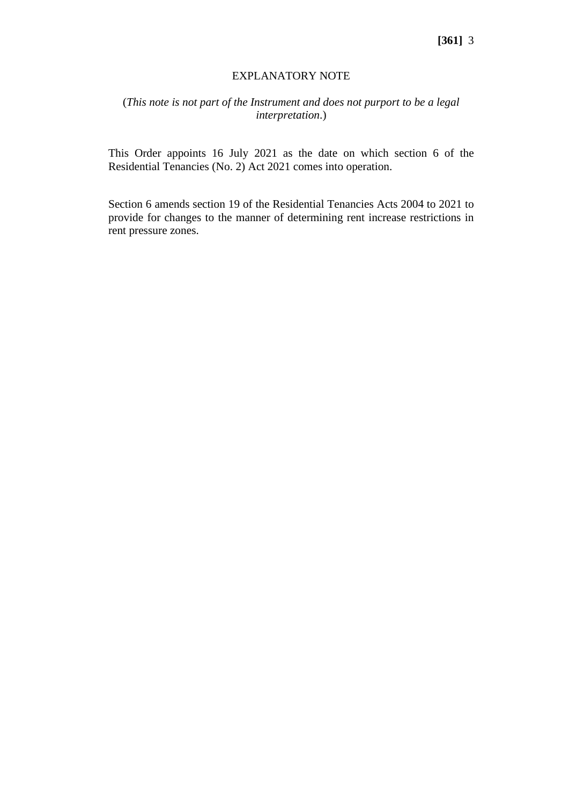#### EXPLANATORY NOTE

### (*This note is not part of the Instrument and does not purport to be a legal interpretation*.)

This Order appoints 16 July 2021 as the date on which section 6 of the Residential Tenancies (No. 2) Act 2021 comes into operation.

Section 6 amends section 19 of the Residential Tenancies Acts 2004 to 2021 to provide for changes to the manner of determining rent increase restrictions in rent pressure zones.